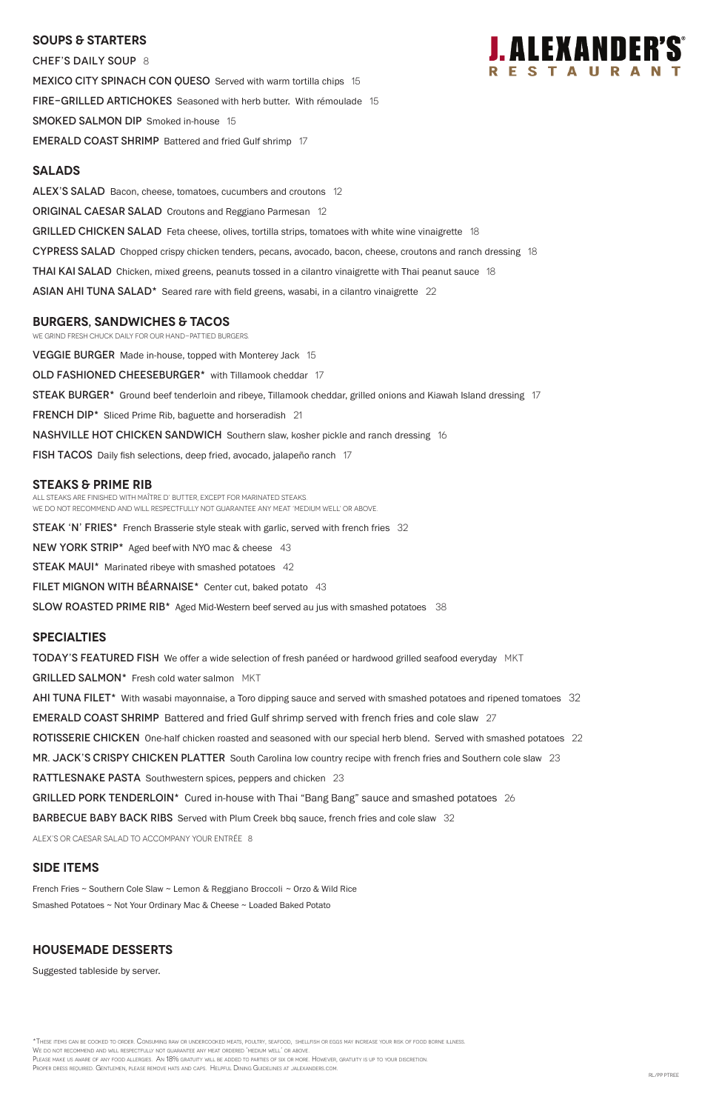## **SOUPS & Starters**

CHEF'S DAILY SOUP 8 MEXICO CITY SPINACH CON QUESO Served with warm tortilla chips 15 FIRE-GRILLED ARTICHOKES Seasoned with herb butter. With rémoulade 15 SMOKED SALMON DIP Smoked in-house 15 **EMERALD COAST SHRIMP** Battered and fried Gulf shrimp 17

## **Salads**

ALEX'S SALAD Bacon, cheese, tomatoes, cucumbers and croutons 12 **ORIGINAL CAESAR SALAD** Croutons and Reggiano Parmesan 12 GRILLED CHICKEN SALAD Feta cheese, olives, tortilla strips, tomatoes with white wine vinaigrette 18 CYPRESS SALAD Chopped crispy chicken tenders, pecans, avocado, bacon, cheese, croutons and ranch dressing 18 **THAI KAI SALAD** Chicken, mixed greens, peanuts tossed in a cilantro vinaigrette with Thai peanut sauce 18 ASIAN AHI TUNA SALAD<sup>\*</sup> Seared rare with field greens, wasabi, in a cilantro vinaigrette 22

## **burgers, Sandwiches & tacos**

We grind fresh chuck daily for our hand-pattied burgers.

**VEGGIE BURGER** Made in-house, topped with Monterey Jack 15

OLD FASHIONED CHEESEBURGER\* with Tillamook cheddar 17

STEAK BURGER<sup>\*</sup> Ground beef tenderloin and ribeye, Tillamook cheddar, grilled onions and Kiawah Island dressing 17

**FRENCH DIP\*** Sliced Prime Rib, baguette and horseradish 21

**NASHVILLE HOT CHICKEN SANDWICH** Southern slaw, kosher pickle and ranch dressing 16

FISH TACOS Daily fish selections, deep fried, avocado, jalapeño ranch 17

### **STEAKS & Prime Rib**

All steaks are finished with Maître d' butter, except for marinated steaks. WE DO NOT RECOMMEND AND WILL RESPECTFULLY NOT GUARANTEE ANY MEAT 'MEDIUM WELL' OR ABOVE.

STEAK 'N' FRIES\* French Brasserie style steak with garlic, served with french fries 32

NEW YORK STRIP\* Aged beef with NYO mac & cheese 43

**STEAK MAUI\*** Marinated ribeye with smashed potatoes 42

FILET MIGNON WITH BEARNAISE\* Center cut, baked potato 43

SLOW ROASTED PRIME RIB<sup>\*</sup> Aged Mid-Western beef served au jus with smashed potatoes 38

### **specialties**

**TODAY'S FEATURED FISH** We offer a wide selection of fresh panéed or hardwood grilled seafood everyday MKT

GRILLED SALMON\* Fresh cold water salmon MKT

AHI TUNA FILET\* With wasabi mayonnaise, a Toro dipping sauce and served with smashed potatoes and ripened tomatoes 32

EMERALD COAST SHRIMP Battered and fried Gulf shrimp served with french fries and cole slaw 27

ROTISSERIE CHICKEN One-half chicken roasted and seasoned with our special herb blend. Served with smashed potatoes 22

MR. JACK'S CRISPY CHICKEN PLATTER South Carolina low country recipe with french fries and Southern cole slaw 23

RATTLESNAKE PASTA Southwestern spices, peppers and chicken 23

GRILLED PORK TENDERLOIN\* Cured in-house with Thai "Bang Bang" sauce and smashed potatoes 26



#### BARBECUE BABY BACK RIBS Served with Plum Creek bbq sauce, french fries and cole slaw 32

ALEX's or Caesar salad to accompany your entrée 8

### **SIDE ITEMS**

French Fries ~ Southern Cole Slaw ~ Lemon & Reggiano Broccoli ~ Orzo & Wild Rice Smashed Potatoes ~ Not Your Ordinary Mac & Cheese ~ Loaded Baked Potato

## **Housemade DESSERTS**

Suggested tableside by server.

\*These items can be cooked to order. Consuming raw or undercooked meats, poultry, seafood, shellfish or eggs may increase your risk of food borne illness. We do not recommend and will respectfully not guarantee any meat ordered 'medium well' or above. Please make us aware of any food allergies. An 18% gratuity will be added to parties of six or more. However, gratuity is up to your discretion. Proper dress required. Gentlemen, please remove hats and caps. Helpful Dining Guidelines at jalexanders.com.